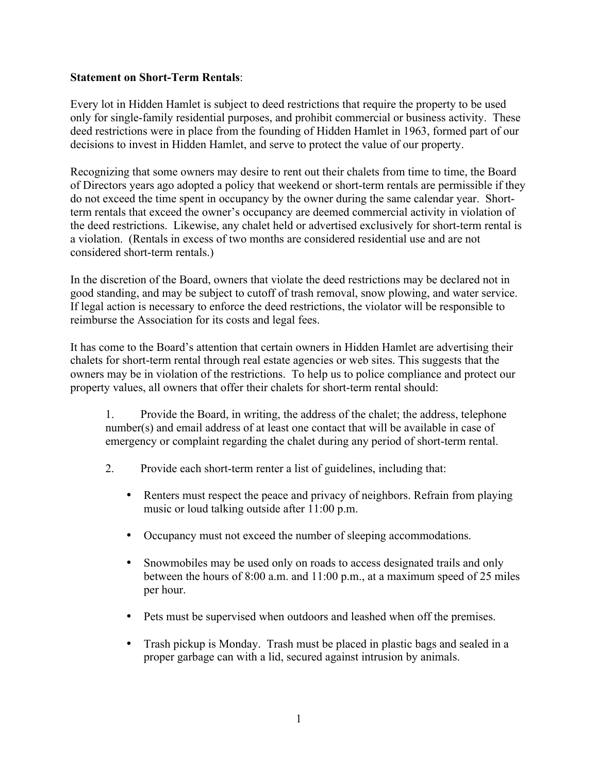## **Statement on Short-Term Rentals**:

Every lot in Hidden Hamlet is subject to deed restrictions that require the property to be used only for single-family residential purposes, and prohibit commercial or business activity. These deed restrictions were in place from the founding of Hidden Hamlet in 1963, formed part of our decisions to invest in Hidden Hamlet, and serve to protect the value of our property.

Recognizing that some owners may desire to rent out their chalets from time to time, the Board of Directors years ago adopted a policy that weekend or short-term rentals are permissible if they do not exceed the time spent in occupancy by the owner during the same calendar year. Shortterm rentals that exceed the owner's occupancy are deemed commercial activity in violation of the deed restrictions. Likewise, any chalet held or advertised exclusively for short-term rental is a violation. (Rentals in excess of two months are considered residential use and are not considered short-term rentals.)

In the discretion of the Board, owners that violate the deed restrictions may be declared not in good standing, and may be subject to cutoff of trash removal, snow plowing, and water service. If legal action is necessary to enforce the deed restrictions, the violator will be responsible to reimburse the Association for its costs and legal fees.

It has come to the Board's attention that certain owners in Hidden Hamlet are advertising their chalets for short-term rental through real estate agencies or web sites. This suggests that the owners may be in violation of the restrictions. To help us to police compliance and protect our property values, all owners that offer their chalets for short-term rental should:

1. Provide the Board, in writing, the address of the chalet; the address, telephone number(s) and email address of at least one contact that will be available in case of emergency or complaint regarding the chalet during any period of short-term rental.

- 2. Provide each short-term renter a list of guidelines, including that:
	- Renters must respect the peace and privacy of neighbors. Refrain from playing music or loud talking outside after 11:00 p.m.
	- Occupancy must not exceed the number of sleeping accommodations.
	- Snowmobiles may be used only on roads to access designated trails and only between the hours of 8:00 a.m. and 11:00 p.m., at a maximum speed of 25 miles per hour.
	- Pets must be supervised when outdoors and leashed when off the premises.
	- Trash pickup is Monday. Trash must be placed in plastic bags and sealed in a proper garbage can with a lid, secured against intrusion by animals.